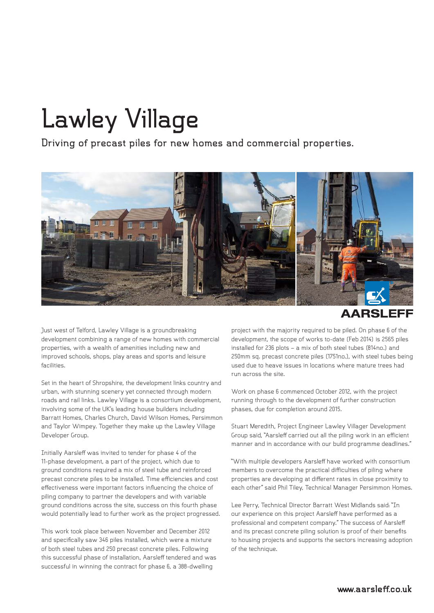## **Lawley Village**

**Driving of precast piles for new homes and commercial properties.**



## **AARSLEFF**

Just west of Telford, Lawley Village is a groundbreaking development combining a range of new homes with commercial properties, with a wealth of amenities including new and improved schools, shops, play areas and sports and leisure facilities.

Set in the heart of Shropshire, the development links country and urban, with stunning scenery yet connected through modern roads and rail links. Lawley Village is a consortium development, involving some of the UK's leading house builders including Barratt Homes, Charles Church, David Wilson Homes, Persimmon and Taylor Wimpey. Together they make up the Lawley Village Developer Group.

Initially Aarsleff was invited to tender for phase 4 of the 11-phase development, a part of the project, which due to ground conditions required a mix of steel tube and reinforced precast concrete piles to be installed. Time efficiencies and cost effectiveness were important factors influencing the choice of piling company to partner the developers and with variable ground conditions across the site, success on this fourth phase would potentially lead to further work as the project progressed.

This work took place between November and December 2012 and specifically saw 346 piles installed, which were a mixture of both steel tubes and 250 precast concrete piles. Following this successful phase of installation, Aarsleff tendered and was successful in winning the contract for phase 6, a 388-dwelling

project with the majority required to be piled. On phase 6 of the development, the scope of works to-date (Feb 2014) is 2565 piles installed for 236 plots – a mix of both steel tubes (814no.) and 250mm sq. precast concrete piles (1751no.), with steel tubes being used due to heave issues in locations where mature trees had run across the site.

Work on phase 6 commenced October 2012, with the project running through to the development of further construction phases, due for completion around 2015.

Stuart Meredith, Project Engineer Lawley Villager Development Group said, "Aarsleff carried out all the piling work in an efficient manner and in accordance with our build programme deadlines."

"With multiple developers Aarsleff have worked with consortium members to overcome the practical difficulties of piling where properties are developing at different rates in close proximity to each other" said Phil Tiley, Technical Manager Persimmon Homes.

Lee Perry, Technical Director Barratt West Midlands said: "In our experience on this project Aarsleff have performed as a professional and competent company." The success of Aarsleff and its precast concrete piling solution is proof of their benefits to housing projects and supports the sectors increasing adoption of the technique.